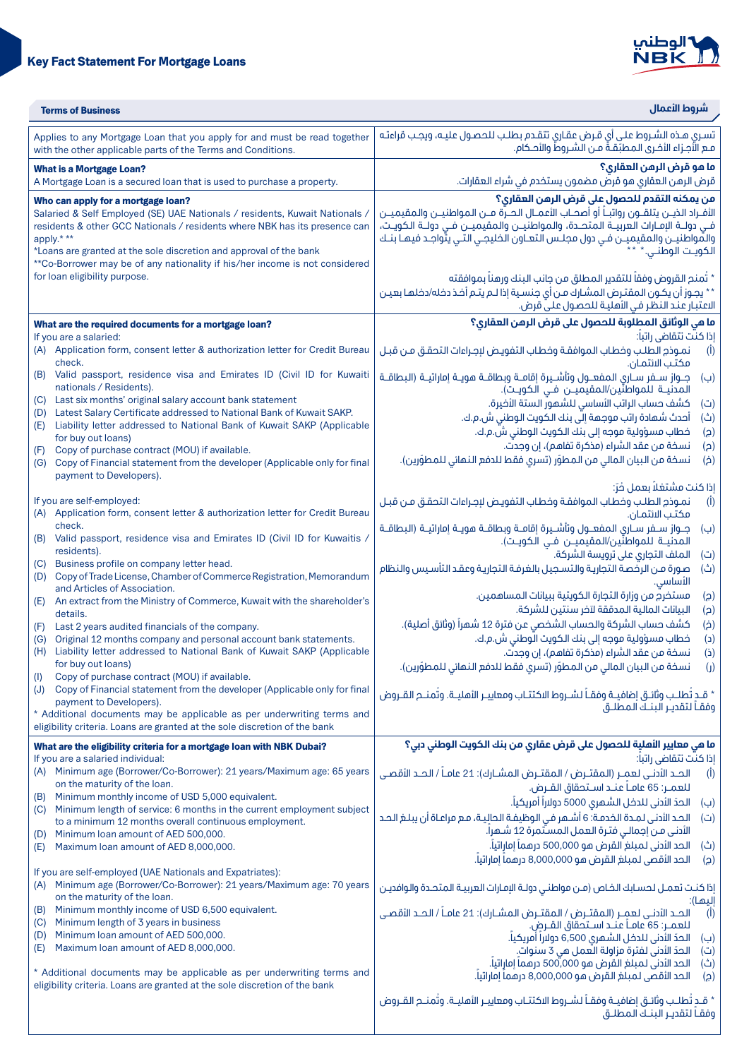



| <b>Terms of Business</b>                                                                                                                                                                                                                                                                                                                                                                           | شروط الأعمال                                                                                                                                                                                                                                                                                                                                                                                                                                                                                                                                                                            |  |  |
|----------------------------------------------------------------------------------------------------------------------------------------------------------------------------------------------------------------------------------------------------------------------------------------------------------------------------------------------------------------------------------------------------|-----------------------------------------------------------------------------------------------------------------------------------------------------------------------------------------------------------------------------------------------------------------------------------------------------------------------------------------------------------------------------------------------------------------------------------------------------------------------------------------------------------------------------------------------------------------------------------------|--|--|
| Applies to any Mortgage Loan that you apply for and must be read together<br>with the other applicable parts of the Terms and Conditions.                                                                                                                                                                                                                                                          | تسرى هذه الشروط على أي قرض عقارى تتقدم بطلب للحصول عليـه، ويجب قراءته<br>مـع الأجـزاء الأخـرى الـمـطبّقـةٌ مــن الـشــروط والأحـكام.                                                                                                                                                                                                                                                                                                                                                                                                                                                    |  |  |
| <b>What is a Mortgage Loan?</b><br>A Mortgage Loan is a secured loan that is used to purchase a property.                                                                                                                                                                                                                                                                                          | ما مو قرض الرمن العقاري؟<br>قرض الرهن العقاري هو قرصٌ مضمون يستخدم في شراء العقارات.                                                                                                                                                                                                                                                                                                                                                                                                                                                                                                    |  |  |
| Who can apply for a mortgage loan?<br>Salaried & Self Employed (SE) UAE Nationals / residents, Kuwait Nationals /<br>residents & other GCC Nationals / residents where NBK has its presence can<br>apply.***<br>*Loans are granted at the sole discretion and approval of the bank<br>**Co-Borrower may be of any nationality if his/her income is not considered<br>for loan eligibility purpose. | من يمكنه التقدم للحصول على قرض الرهن العقارى؟<br>الأفــراد الذيـــن يتلقـــون رواتبــــأ أو أصحـــاب الأعمـــال الحـــرة مـــن المواطنيـــن والمقيميـــن<br>فـي دولــة الإمــارات الـعربيــة الـمتحــدة، والـمـواطنيـــن والـمـقيميـــن فــي دولــة الـكويــت،<br>والمّواطنيــن والمقيميــن فـي دول مجلــس التعــاون الخليجـي التـي يتّواجـد فيهـا بنــك<br>الكويـت الوطنـي.*<br>* تُمنح القروض وفقاً للتقدير المطلق من جانب البنك ورهناً بموافقته<br>** يجوز أن يكون المقترض المشارك من أى جنسية إذا لـم يتـم أخـذ دخله/دخلهـا بهيـن<br>الاعتبار عند النظر في الأهلية للحصول علىّ قرض. |  |  |
| What are the required documents for a mortgage loan?                                                                                                                                                                                                                                                                                                                                               | ما هي الوثائق المطلوبة للحصول على قرض الرهن العقارى؟                                                                                                                                                                                                                                                                                                                                                                                                                                                                                                                                    |  |  |
| If you are a salaried:<br>(A) Application form, consent letter & authorization letter for Credit Bureau<br>check.                                                                                                                                                                                                                                                                                  | إذا كنت تتقاضى راتباً:<br>نمـوذم الطلـب وخطاب الموافقـة وخطاب التفويـض لإجـراءات التحقـق مـن قبـل<br>(I)<br>مكتب الائتمان.                                                                                                                                                                                                                                                                                                                                                                                                                                                              |  |  |
| Valid passport, residence visa and Emirates ID (Civil ID for Kuwaiti<br>(B)<br>nationals / Residents).                                                                                                                                                                                                                                                                                             | جـــواز ســـفر ســـاري الـمـفـعـــول وتأشـــيـرة إقامـــة وبـطاقـــة معريـــة إماراتيـــة (الـبـطاقـــة<br>(ب)<br>المدنيــة للمواطنّين/المقيميــن فــى الكويـت).                                                                                                                                                                                                                                                                                                                                                                                                                        |  |  |
| Last six months' original salary account bank statement<br>(C)<br>Latest Salary Certificate addressed to National Bank of Kuwait SAKP.<br>(D)<br>Liability letter addressed to National Bank of Kuwait SAKP (Applicable<br>(E)<br>for buy out loans)                                                                                                                                               | كشف حساب الراتب الأساسي للشهور الستة الأخيرة.<br>(ت)<br>أحدث شمادة راتب موجمة إلى بنك الكويت الوطني ش.م.ك.<br>(ث)<br>خطاب مسؤولية موجه إلى بنك الكويت الوطني ش.م.ك.<br>(ခ)                                                                                                                                                                                                                                                                                                                                                                                                              |  |  |
| Copy of purchase contract (MOU) if available.<br>(F)<br>Copy of Financial statement from the developer (Applicable only for final<br>(G)<br>payment to Developers).                                                                                                                                                                                                                                | نسخة من عقد الشراء (مذكرة تفاهم)، إن وجدت.<br>(a)<br>نسخة من البيان المالي من المطوّر (تسري فقط للدفع النهائي للمطوّرين).<br>$\dot{a}$                                                                                                                                                                                                                                                                                                                                                                                                                                                  |  |  |
| If you are self-employed:<br>Application form, consent letter & authorization letter for Credit Bureau<br>(A)                                                                                                                                                                                                                                                                                      | إذا كنت مشتغلاً بعمل فُرّ:<br>نمـوذج الطلـب وخطاب الموافقـة وخطاب التفويـض لإجـراءات التحقـق مـن قبـل<br>$(\overline{I})$<br>مكتب الائتمان.                                                                                                                                                                                                                                                                                                                                                                                                                                             |  |  |
| check.<br>(B) Valid passport, residence visa and Emirates ID (Civil ID for Kuwaitis,<br>residents).                                                                                                                                                                                                                                                                                                | جـــواز ســـفر ســـارى الـمفعـــول وتأشـــيرة إقامـــة وبطاقــة هويــة إماراتيـــة (الـبـطاقــة<br>(ب)<br>المدنيـــة للمواطنّين/المقيميـــن فــي الـكويــت).                                                                                                                                                                                                                                                                                                                                                                                                                            |  |  |
| Business profile on company letter head.<br>(C)<br>Copy of Trade License, Chamber of Commerce Registration, Memorandum<br>(D)                                                                                                                                                                                                                                                                      | الملف التجاري على ترويسة الشركة.<br>(ت)<br>صورة من الرخصة التجارية والتسجيل بالغرفة التجارية وعقد التأسيس والنظام<br>(ث)<br>الأساسي.                                                                                                                                                                                                                                                                                                                                                                                                                                                    |  |  |
| and Articles of Association.<br>An extract from the Ministry of Commerce, Kuwait with the shareholder's<br>(E)<br>details.                                                                                                                                                                                                                                                                         | مستخرج من وزارة التجارة الكويتية ببيانات المساهمين.<br>(၄)<br>البيانات المالية المدققة لآخر سنتين للشركة.<br>(a)                                                                                                                                                                                                                                                                                                                                                                                                                                                                        |  |  |
| Last 2 years audited financials of the company.<br>(F)<br>Original 12 months company and personal account bank statements.<br>(G)<br>Liability letter addressed to National Bank of Kuwait SAKP (Applicable<br>(H)                                                                                                                                                                                 | كشف حساب الشركة والحساب الشخصى عن فترة 12 شهراً (وثائق أصلية).<br>$(\dot{\mathsf{a}})$<br>خطاب مسؤولية موجه إلى بنك الكويت الَّوطني ش.م.ك.<br>(c)<br>نسخة من عقد الشراء (مذكرة تفاهم)، إن وجدت.<br>(i)                                                                                                                                                                                                                                                                                                                                                                                  |  |  |
| for buy out loans)<br>Copy of purchase contract (MOU) if available.<br>(1)                                                                                                                                                                                                                                                                                                                         | نسخة من البيان المالي من المطوّر (تسرى فقط للدفع النهائي للمطوّرين).<br>$\left( \mathbf{I} \right)$                                                                                                                                                                                                                                                                                                                                                                                                                                                                                     |  |  |
| Copy of Financial statement from the developer (Applicable only for final<br>(J)<br>payment to Developers).                                                                                                                                                                                                                                                                                        | * قـد تُطلـب وثائـق إضافيــة وفقــاً لشــروط الاكتتــاب ومعاييــر الأهليــة. وتُمنـــم القــروض<br>وفقـاً لتقديـر البنـك المطلــق                                                                                                                                                                                                                                                                                                                                                                                                                                                       |  |  |
| * Additional documents may be applicable as per underwriting terms and<br>eligibility criteria. Loans are granted at the sole discretion of the bank                                                                                                                                                                                                                                               |                                                                                                                                                                                                                                                                                                                                                                                                                                                                                                                                                                                         |  |  |
| What are the eligibility criteria for a mortgage loan with NBK Dubai?<br>If you are a salaried individual:                                                                                                                                                                                                                                                                                         | ما هي معايير الأهلية للحصول على قرض عقاري من بنك الكويت الوطني دبي؟<br>إذا كنت تتقاضى راتباً:                                                                                                                                                                                                                                                                                                                                                                                                                                                                                           |  |  |
| Minimum age (Borrower/Co-Borrower): 21 years/Maximum age: 65 years<br>(A)<br>on the maturity of the loan.                                                                                                                                                                                                                                                                                          | الحـد الأدنـــى لعمــر (المقتــرض / المقتــرض المشــارك): 21 عامــاً / الحــد الأقصــى<br>(I)<br>للعمــر: 65 عامــاً عنــد اســتحقاق القــرض.                                                                                                                                                                                                                                                                                                                                                                                                                                           |  |  |
| Minimum monthly income of USD 5,000 equivalent.<br>(B)<br>Minimum length of service: 6 months in the current employment subject<br>(C)<br>to a minimum 12 months overall continuous employment.                                                                                                                                                                                                    | الحدّ الأدنى للدخل الشهرى 5000 دولاراً أمريكياً.<br>(پ)<br>الحد الأدنى لمـدة الخدمـة: 6 أشـهر فـى الوظيفـة الـحاليـة، مـع مراعـاة أن يبلـغ الـحـد<br>(ت)                                                                                                                                                                                                                                                                                                                                                                                                                                |  |  |
| Minimum Ioan amount of AED 500,000.<br>(D)<br>Maximum Ioan amount of AED 8,000,000.<br>(E)                                                                                                                                                                                                                                                                                                         | الأدنى مـن إجمالـى فتـرة العمل المستّمرة 12 شـهراً.<br>الحد الأدنى لمبلغ القرض هو 500,000 درهماً إماراتياً.<br>(ث)<br>الحد الأقصى لمبلغ القرض هو 8,000,000 درهماً إماراتياً.<br>(ငူ)                                                                                                                                                                                                                                                                                                                                                                                                    |  |  |
| If you are self-employed (UAE Nationals and Expatriates):<br>Minimum age (Borrower/Co-Borrower): 21 years/Maximum age: 70 years<br>(A)                                                                                                                                                                                                                                                             | إذا كنت تعمـل لحسـابك الخـاص (مـن مواطنـى دولـة الإمـارات العربيـة المتحـدة والوافديـن                                                                                                                                                                                                                                                                                                                                                                                                                                                                                                  |  |  |
| on the maturity of the loan.<br>Minimum monthly income of USD 6,500 equivalent.<br>(B)<br>Minimum length of 3 years in business<br>(C)                                                                                                                                                                                                                                                             | إليها):<br>الحـد الأدنــى لعمــر (المقتــرض / المقتــرض المشــارك): 21 عامــاً / الحــد الأقصــى<br>$(\mathbf{I})$<br>للعمــر: 65 عامــاً عنــد اســتحقاق القــرض.                                                                                                                                                                                                                                                                                                                                                                                                                      |  |  |
| Minimum Ioan amount of AED 500,000.<br>(D)<br>Maximum Ioan amount of AED 8,000,000.<br>(E)                                                                                                                                                                                                                                                                                                         | الحدّ الأدنى للدخل الشهري 6,500 دولاراً أمريكياً.<br>(ب)<br>الحدّ الأدنى لفترة مزاولة العمل هي 3 سنواتٍ.<br>(ت)                                                                                                                                                                                                                                                                                                                                                                                                                                                                         |  |  |
| * Additional documents may be applicable as per underwriting terms and<br>eligibility criteria. Loans are granted at the sole discretion of the bank                                                                                                                                                                                                                                               | الحد الأدنى لمبلغ القرض هو 500,ّ000 درهماً إماراتياً.<br>(ث)<br>الحد الأقصى لمبلغ القرض هو 8,000,000 درهماً إماراتياً.<br>(၁)                                                                                                                                                                                                                                                                                                                                                                                                                                                           |  |  |
|                                                                                                                                                                                                                                                                                                                                                                                                    | * قـد تُطلـب وثائـق إضافيــة وفقــاً لشــروط الاكتتــاب ومعاييــر الأهليــة. وتُمنــم القــروض<br>وفقـأ لتقديـر البنـك المطلـق                                                                                                                                                                                                                                                                                                                                                                                                                                                          |  |  |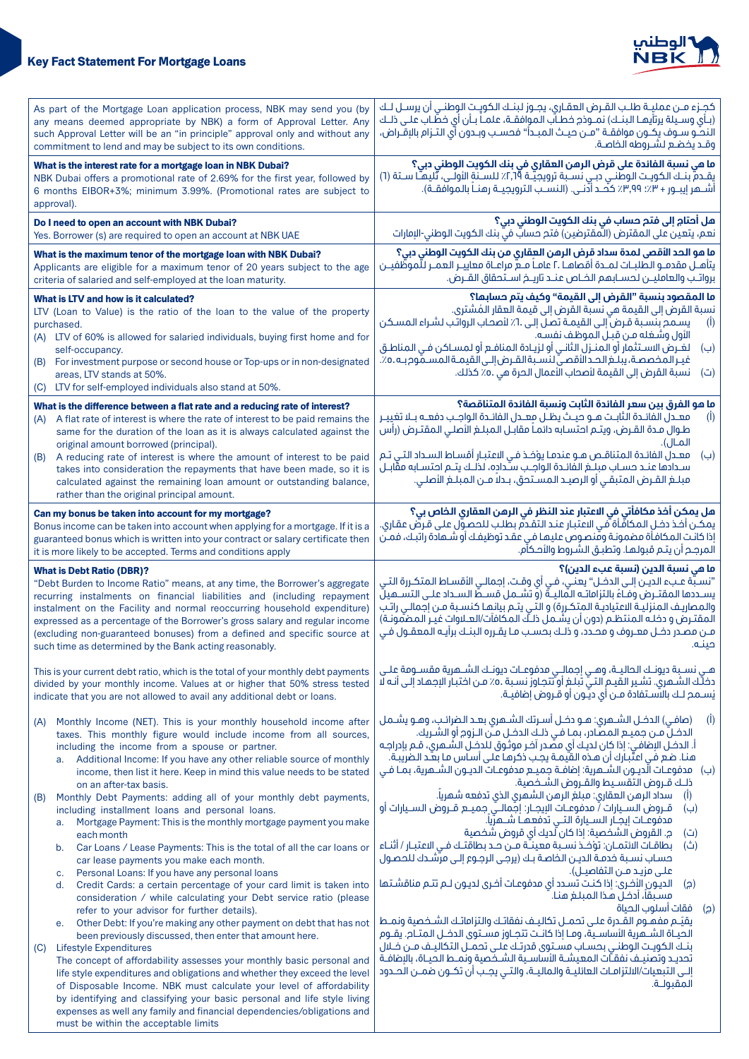

## **Key Fact Statement For Mortgage Loans**

| As part of the Mortgage Loan application process, NBK may send you (by                                                                                                                                                                                                                                                                                                                                                                                                                                                                                                                                                                                                                                                                                                                                                                                     | كجـزء مــن عمليــة طلــب القــرض العقـارى، يجــوز لبنــك الكويــت الوطنــى أن يرســل لــك                                                                                                                                                                                                                                                                                                                                                                                                                                                                                                                                                                                                                                                                                                                                                                                                                                                                             |  |  |
|------------------------------------------------------------------------------------------------------------------------------------------------------------------------------------------------------------------------------------------------------------------------------------------------------------------------------------------------------------------------------------------------------------------------------------------------------------------------------------------------------------------------------------------------------------------------------------------------------------------------------------------------------------------------------------------------------------------------------------------------------------------------------------------------------------------------------------------------------------|-----------------------------------------------------------------------------------------------------------------------------------------------------------------------------------------------------------------------------------------------------------------------------------------------------------------------------------------------------------------------------------------------------------------------------------------------------------------------------------------------------------------------------------------------------------------------------------------------------------------------------------------------------------------------------------------------------------------------------------------------------------------------------------------------------------------------------------------------------------------------------------------------------------------------------------------------------------------------|--|--|
| any means deemed appropriate by NBK) a form of Approval Letter. Any                                                                                                                                                                                                                                                                                                                                                                                                                                                                                                                                                                                                                                                                                                                                                                                        | (بـأى وسـيلة يرتأيهـا البنـك) نمـوذج خطـآب الموافقـة، علمـاً بـأن أى خطّـاب علـى ذلـك                                                                                                                                                                                                                                                                                                                                                                                                                                                                                                                                                                                                                                                                                                                                                                                                                                                                                 |  |  |
| such Approval Letter will be an "in principle" approval only and without any                                                                                                                                                                                                                                                                                                                                                                                                                                                                                                                                                                                                                                                                                                                                                                               | النحـّـو ســوف يكــون موافقــة "مــن حيــث الـمـبـدأ" فحسـب وبــدون أي الـتــزام بالإقــراض،                                                                                                                                                                                                                                                                                                                                                                                                                                                                                                                                                                                                                                                                                                                                                                                                                                                                          |  |  |
| commitment to lend and may be subject to its own conditions.                                                                                                                                                                                                                                                                                                                                                                                                                                                                                                                                                                                                                                                                                                                                                                                               | وقـد يخضـع لشـروطه الخاصـة.                                                                                                                                                                                                                                                                                                                                                                                                                                                                                                                                                                                                                                                                                                                                                                                                                                                                                                                                           |  |  |
| What is the interest rate for a mortgage loan in NBK Dubai?<br>NBK Dubai offers a promotional rate of 2.69% for the first year, followed by<br>6 months EIBOR+3%; minimum 3.99%. (Promotional rates are subject to<br>approval).                                                                                                                                                                                                                                                                                                                                                                                                                                                                                                                                                                                                                           | ما هي نسبة الفائدة على قرض الرهن العقاري في بنك الكويت الوطني دبي؟<br>يقـدمَّ بنـك الكويـت الوطنـي دبـي نســبة ترويجيّـة ٢,٦٩٪ للســنةِ الأولــي، تّليهـاً ســتة (٦)<br>أَشْـمْرِ إيبـورِ + ٣.7 ٩٩.٢٪ كَفَّدْ أَدْنَـى. (النسـّبِ الترويجيــة رهنــاً بالموافقــة).                                                                                                                                                                                                                                                                                                                                                                                                                                                                                                                                                                                                                                                                                                   |  |  |
| Do I need to open an account with NBK Dubai?                                                                                                                                                                                                                                                                                                                                                                                                                                                                                                                                                                                                                                                                                                                                                                                                               | هل أحتام إلى فتم حساب في بنك الكويت الوطني دبي؟                                                                                                                                                                                                                                                                                                                                                                                                                                                                                                                                                                                                                                                                                                                                                                                                                                                                                                                       |  |  |
| Yes. Borrower (s) are required to open an account at NBK UAE                                                                                                                                                                                                                                                                                                                                                                                                                                                                                                                                                                                                                                                                                                                                                                                               | نعم، يتعين على المقترض (المقترضين) فتح حسابٌ فيَّ بنك الكويت الوطني-الإمارات                                                                                                                                                                                                                                                                                                                                                                                                                                                                                                                                                                                                                                                                                                                                                                                                                                                                                          |  |  |
| What is the maximum tenor of the mortgage loan with NBK Dubai?                                                                                                                                                                                                                                                                                                                                                                                                                                                                                                                                                                                                                                                                                                                                                                                             | ما هو الحد الأقصى لمدة سداد قرض الرهن العقاري من بنك الكويت الوطني دبي؟                                                                                                                                                                                                                                                                                                                                                                                                                                                                                                                                                                                                                                                                                                                                                                                                                                                                                               |  |  |
| Applicants are eligible for a maximum tenor of 20 years subject to the age                                                                                                                                                                                                                                                                                                                                                                                                                                                                                                                                                                                                                                                                                                                                                                                 | يتأهــل مقدمــو الـطلبــات لـمــدة أقـصاهــا .٢ عامــاً مــع مراعــاة معاييــر الـعمــر للّموظّفيــن                                                                                                                                                                                                                                                                                                                                                                                                                                                                                                                                                                                                                                                                                                                                                                                                                                                                  |  |  |
| criteria of salaried and self-employed at the loan maturity.                                                                                                                                                                                                                                                                                                                                                                                                                                                                                                                                                                                                                                                                                                                                                                                               | برواتـب والعامليــن لحســابـمم الخــاص عنــد تاريــخ اســتحقاق القــرض.                                                                                                                                                                                                                                                                                                                                                                                                                                                                                                                                                                                                                                                                                                                                                                                                                                                                                               |  |  |
| What is LTV and how is it calculated?<br>LTV (Loan to Value) is the ratio of the loan to the value of the property<br>purchased.<br>(A) LTV of 60% is allowed for salaried individuals, buying first home and for<br>self-occupancy.<br>(B) For investment purpose or second house or Top-ups or in non-designated<br>areas, LTV stands at 50%.<br>(C) LTV for self-employed individuals also stand at 50%.                                                                                                                                                                                                                                                                                                                                                                                                                                                | ما المقصود بنسبة "القرض إلى القيمة" وكيف يتم حسابها؟<br>نسبة القرض إلى القيمة هي نسبة القرض إلى قيمة العقار المُشترى.<br>يسمح بنسبة قرض ّإلى القيمـة تصل إلى .٦٪ لأصحاب الرواتب لشراء المسكن<br>(I)<br>الأول وشغله مـن قبـل الموظف نفسـه.<br>لغُـرِضُ الاسـتثمار أو المنـزلُ الثانـي أو لزيـادة المنافـع أو لمسـاكن فـي المناطـق<br>(ب)<br>غيـر المخصصة، يبلــغ الحــدالأقصــيّ لـنســبة القــرض إلــى القيمــة المســمّوم بــه .ه٪.<br>(ت) نسبة القرض إلى القيمة لأصحاب الأعمال الحرة هي .٥٪ كذلك.                                                                                                                                                                                                                                                                                                                                                                                                                                                                   |  |  |
| What is the difference between a flat rate and a reducing rate of interest?<br>A flat rate of interest is where the rate of interest to be paid remains the<br>(A)<br>same for the duration of the loan as it is always calculated against the<br>original amount borrowed (principal).<br>A reducing rate of interest is where the amount of interest to be paid<br>(B)<br>takes into consideration the repayments that have been made, so it is<br>calculated against the remaining loan amount or outstanding balance,<br>rather than the original principal amount.                                                                                                                                                                                                                                                                                    | ما هو الفرق بين سعر الفائدة الثابت ونسبة الفائدة المتناقصة؟<br>معــدل الفائــدة الثابــت هــو حيــث يظــل معــدل الفائــدة الـواجــب دفعــه بــلا تغييــر<br>(1)<br>طوال مـدة القـرض، ويتـم احتسـابه دائمـاً مقابـل المبلـغ الأصلي المقتـرض (رأس<br>المـال).<br>معـدل الفائـدة المتناقـص هـو عندمـا يؤخـذ فـى الاعتبـار أقسـاط السـداد التـى تـم<br>(ب)<br>سندادها عنبد حسناب مبلنغ الفائدة الواجب سنداده، لذلبك يتنم احتسنابه مقَّابيل<br>مبلــٰغ القــرض المتبقــى أو الرصيــد المسـتحق، بــدلاً مــن المبلــغ الأصلــى.                                                                                                                                                                                                                                                                                                                                                                                                                                            |  |  |
| Can my bonus be taken into account for my mortgage?                                                                                                                                                                                                                                                                                                                                                                                                                                                                                                                                                                                                                                                                                                                                                                                                        | هل يمكن أخذ مكافأتي في الاعتبار عند النظر في الرهن العقاري الخاص بي؟                                                                                                                                                                                                                                                                                                                                                                                                                                                                                                                                                                                                                                                                                                                                                                                                                                                                                                  |  |  |
| Bonus income can be taken into account when applying for a mortgage. If it is a                                                                                                                                                                                                                                                                                                                                                                                                                                                                                                                                                                                                                                                                                                                                                                            | يمكـن أفـذ دفـلِ المكافَّـأة فـى الاعتبـار عنـد التقـدم بطلـب للحصـوّل علـى قـرضٌ عقـارى                                                                                                                                                                                                                                                                                                                                                                                                                                                                                                                                                                                                                                                                                                                                                                                                                                                                              |  |  |
| guaranteed bonus which is written into your contract or salary certificate then                                                                                                                                                                                                                                                                                                                                                                                                                                                                                                                                                                                                                                                                                                                                                                            | إذا كانت المكافأة مضمونة وقنصوص عليها فى عقد توظيفك أو شـهادة راتبـك، فمـن                                                                                                                                                                                                                                                                                                                                                                                                                                                                                                                                                                                                                                                                                                                                                                                                                                                                                            |  |  |
| it is more likely to be accepted. Terms and conditions apply                                                                                                                                                                                                                                                                                                                                                                                                                                                                                                                                                                                                                                                                                                                                                                                               | المرجح أن يتـم قبولهـا. وتطبـق الشـروط والأحـكآم.                                                                                                                                                                                                                                                                                                                                                                                                                                                                                                                                                                                                                                                                                                                                                                                                                                                                                                                     |  |  |
| <b>What is Debt Ratio (DBR)?</b>                                                                                                                                                                                                                                                                                                                                                                                                                                                                                                                                                                                                                                                                                                                                                                                                                           | ما هي نسبة الدين (نسبة عبء الدين)؟                                                                                                                                                                                                                                                                                                                                                                                                                                                                                                                                                                                                                                                                                                                                                                                                                                                                                                                                    |  |  |
| "Debt Burden to Income Ratio" means, at any time, the Borrower's aggregate                                                                                                                                                                                                                                                                                                                                                                                                                                                                                                                                                                                                                                                                                                                                                                                 | 'نسبَّة عـبء الديـن إلـى الدخـل" يعنـى، فـى أي وقـت، إجمالـى الأقسـاط المتكـررة التـى                                                                                                                                                                                                                                                                                                                                                                                                                                                                                                                                                                                                                                                                                                                                                                                                                                                                                 |  |  |
| recurring instalments on financial liabilities and (including repayment                                                                                                                                                                                                                                                                                                                                                                                                                                                                                                                                                                                                                                                                                                                                                                                    | يسـددها المقتـرض وفـاءً بالتزاماتـه الـماليــة (و تشــمل قســطّ الســداد علــى الـتســميلّ                                                                                                                                                                                                                                                                                                                                                                                                                                                                                                                                                                                                                                                                                                                                                                                                                                                                            |  |  |
| instalment on the Facility and normal reoccurring household expenditure)                                                                                                                                                                                                                                                                                                                                                                                                                                                                                                                                                                                                                                                                                                                                                                                   | والمصاريف المنزليـة الاعتياديـة المتكـررة) و التـي يتـم بيانهـا كنسـبة مـن إجمالـي راتـب                                                                                                                                                                                                                                                                                                                                                                                                                                                                                                                                                                                                                                                                                                                                                                                                                                                                              |  |  |
| expressed as a percentage of the Borrower's gross salary and regular income                                                                                                                                                                                                                                                                                                                                                                                                                                                                                                                                                                                                                                                                                                                                                                                | المقتـرض و دخلـه المنتظـم (دون أن يشـمل ذلــك المكافآت/العــلاوات غيـر المضمّونـة)                                                                                                                                                                                                                                                                                                                                                                                                                                                                                                                                                                                                                                                                                                                                                                                                                                                                                    |  |  |
| (excluding non-guaranteed bonuses) from a defined and specific source at                                                                                                                                                                                                                                                                                                                                                                                                                                                                                                                                                                                                                                                                                                                                                                                   | مـن مصـدر دخـل معـروف و محـدد، و ذلـك بحسـب مـا يقـرره البنـك برآيـه المعقـول فـي                                                                                                                                                                                                                                                                                                                                                                                                                                                                                                                                                                                                                                                                                                                                                                                                                                                                                     |  |  |
| such time as determined by the Bank acting reasonably.                                                                                                                                                                                                                                                                                                                                                                                                                                                                                                                                                                                                                                                                                                                                                                                                     | صنـه.                                                                                                                                                                                                                                                                                                                                                                                                                                                                                                                                                                                                                                                                                                                                                                                                                                                                                                                                                                 |  |  |
| This is your current debt ratio, which is the total of your monthly debt payments                                                                                                                                                                                                                                                                                                                                                                                                                                                                                                                                                                                                                                                                                                                                                                          | هـى نســبة ديونــك الـحاليــة، وهــى إجمالــى مدفوعــات ديونــك الشـــمرية مقســومة علــى                                                                                                                                                                                                                                                                                                                                                                                                                                                                                                                                                                                                                                                                                                                                                                                                                                                                             |  |  |
| divided by your monthly income. Values at or higher that 50% stress tested                                                                                                                                                                                                                                                                                                                                                                                                                                                                                                                                                                                                                                                                                                                                                                                 | دخلَّك الشـْمرى. تشـير القيـم التـيّ تبلـغ أو تتجاوز نسـبة ٥٠٪ مـن اختبـار الإجمـاد إلـى أنـه لا                                                                                                                                                                                                                                                                                                                                                                                                                                                                                                                                                                                                                                                                                                                                                                                                                                                                      |  |  |
| indicate that you are not allowed to avail any additional debt or loans.                                                                                                                                                                                                                                                                                                                                                                                                                                                                                                                                                                                                                                                                                                                                                                                   | يُســمـم لــك بالاســتفادة مــن أي ديــون أو قــروض إضافيــة.                                                                                                                                                                                                                                                                                                                                                                                                                                                                                                                                                                                                                                                                                                                                                                                                                                                                                                         |  |  |
| Monthly Income (NET). This is your monthly household income after<br>(A)<br>taxes. This monthly figure would include income from all sources,<br>including the income from a spouse or partner.<br>a. Additional Income: If you have any other reliable source of monthly<br>income, then list it here. Keep in mind this value needs to be stated<br>on an after-tax basis.<br>Monthly Debt Payments: adding all of your monthly debt payments,<br>(B)<br>including installment loans and personal loans.<br>Mortgage Payment: This is the monthly mortgage payment you make<br>a.<br>each month<br>Car Loans / Lease Payments: This is the total of all the car loans or<br>b.<br>car lease payments you make each month.                                                                                                                                | (صافـي) الدخــل الشــعرى: هــو دخــل أســرتك الشــعرى بعــد الـضرائـب، وهــو يشــمل<br>$(\overline{I})$<br>الدخـلِّ مـن جميـع الـمصّادر، بمـا فـى ذلـك الدخـل مـن الــزوم أو الشـريك.<br>اً. الدخــل الإضافــي: إذا كان لديـك أي مصّـدر آخـر موثـوق للدخــل الشـــمرى، قــم بإدراجــه<br>هنا. ضع في اعتّبارك أن هذه القيمـة يجب ذكرهـا على أسـاس مـا بعـد الـضريبـة.<br>(ب)    مدفوعـات الَّديـون الشــمرية: إضافــة جميــع مدفوعـات الديـون الشــمرية، بمــا فــي<br>ذلـك قـروض التقسـيط والقـروض الشـخصية.<br>سداد الرهن العقاري: مبلغ الرهن الشهري الذي تدفعه شهرياً.<br>(1)<br>قـــروض الـســـيارات / مدفوعــات البيجــار: إجـمالــــي جميـــــع قـــروض الـســـيارات أو<br>(ب)<br>مدفوعــات إيجــار الـســيارة الـتــى تدفعـهــا شــــهرّياً.<br>ج. القروض الشخصية: إذا كان لديك أي قروض شخصية<br>(ت)<br>بطاقـات الائتمـان: تؤفـذ نسـبة معينــّة مــن حـد بطاقتــك فـى الاعتبـار / أثنـاء<br>(ث)<br>حساب نسبة خدمة الدين الخاصة بك (يرجى الرجوع إلى مرشدك للحصول |  |  |
| Personal Loans: If you have any personal loans<br>c.<br>Credit Cards: a certain percentage of your card limit is taken into<br>d.<br>consideration / while calculating your Debt service ratio (please<br>refer to your advisor for further details).<br>Other Debt: If you're making any other payment on debt that has not<br>e.<br>been previously discussed, then enter that amount here.<br>Lifestyle Expenditures<br>(C)<br>The concept of affordability assesses your monthly basic personal and<br>life style expenditures and obligations and whether they exceed the level<br>of Disposable Income. NBK must calculate your level of affordability<br>by identifying and classifying your basic personal and life style living<br>expenses as well any family and financial dependencies/obligations and<br>must be within the acceptable limits | علــى مزيـد مــن التفاصيــل).<br>الديـون الأضرى: إذا كنـت تسـدد أي مدفوعـات أضرى لديـون لــم تتــم مناقشـتـها<br>(၃)<br>مسبقاً، أدفل هذا المبلغ هنا.<br>فقات اسلوب الحىاة<br>(ဥ)<br>يقيّـم مفهـوم القـدرة علـى تحمـل تكاليـف نفقاتـك والتزاماتـك الشـخصية ونمـط<br>الحيــاة الشـــمرية الأساســية، ومــا إذا كانــت تتجــاوز مســتوى الدخــل الـمتــام. يقــوم<br>بنـك الكويـت الوطنـى بحسـاب مسـتوى قدرتـك علـى تحمــل التكاليـف مــن خــلال<br>تحديـد وتصنيـف نفقـّات المعيشـة الأساسـية الشـخصية ونمـط الحيـاة، بالإضافـة<br>إلـى التبعيات/الالتزامـات العائليــة والماليــة، والتــى يجــب أن تكــون ضمــن الحــدود<br>المقبولـة.                                                                                                                                                                                                                                                                                                                                 |  |  |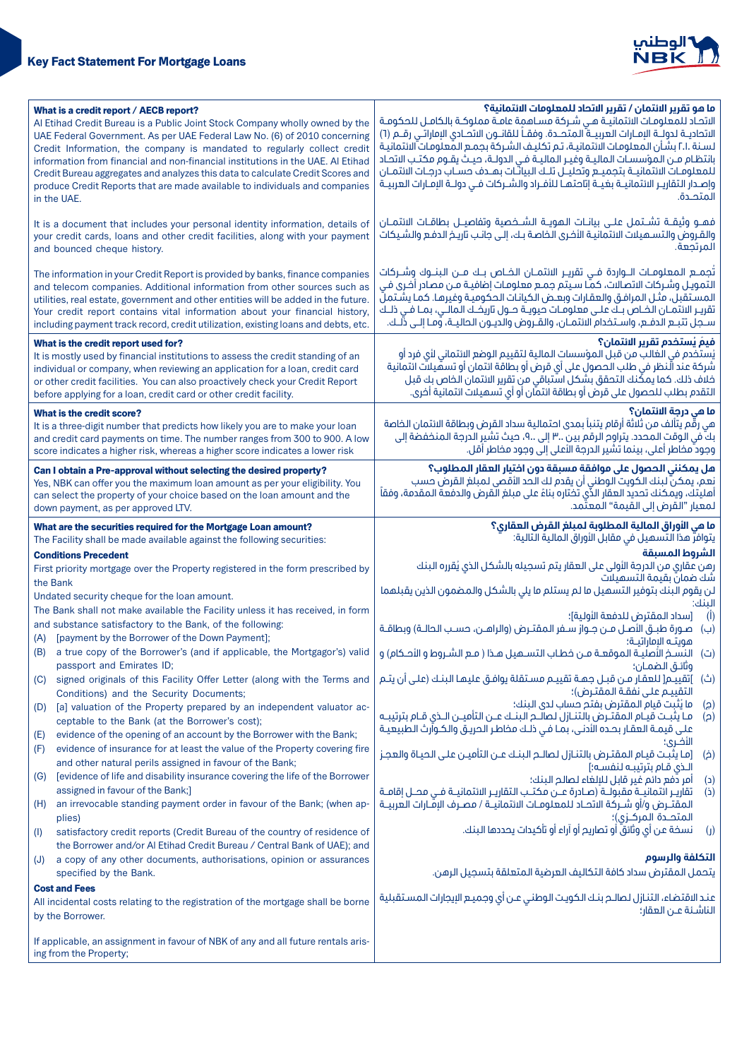

|                                                                                                                              | What is a credit report / AECB report?<br>Al Etihad Credit Bureau is a Public Joint Stock Company wholly owned by the<br>UAE Federal Government. As per UAE Federal Law No. (6) of 2010 concerning<br>Credit Information, the company is mandated to regularly collect credit<br>information from financial and non-financial institutions in the UAE. Al Etihad<br>Credit Bureau aggregates and analyzes this data to calculate Credit Scores and<br>produce Credit Reports that are made available to individuals and companies<br>in the UAE. | ما هو تقرير الائتمان / تقرير الاتحاد للمعلومات الائتمانية؟<br>الاتحاد للمعلومات الائتمانيـة هـى شـركة مسـاهمة عامـة مملوكـة بالكامـل للحكومـة<br>الاتحاديــة لـدولـــة الإمــارات الـعربيـــة ّالـمتحـــدة. وفقـــاً لـلقانـــون الاتحــادي الإماراتــي رقـــم (٦)<br>لسنة .٢.١ بشأن المعلومات الائتمانية، تم تكليف الشركة بجمع المعلومات الائتمانية<br>بانتظام مـن المؤسسـات الماليـة وغيـر الماليـة فـى الدولـة، حيـث يقـوم مكتـب الاتحـاد<br>للمعلومـات الائتمانيــة بتجميــع وتحليــل تلــك البيانـّـات بهــدف حسـاب درجـات الائتمــان<br>وإصدار التقاريـر الائتمانيــة بغيــة إتاحتهـا للأفـراد والشـركات فـى دولــة الإمـارات العربيــة<br>المتحـدة. |  |  |
|------------------------------------------------------------------------------------------------------------------------------|--------------------------------------------------------------------------------------------------------------------------------------------------------------------------------------------------------------------------------------------------------------------------------------------------------------------------------------------------------------------------------------------------------------------------------------------------------------------------------------------------------------------------------------------------|------------------------------------------------------------------------------------------------------------------------------------------------------------------------------------------------------------------------------------------------------------------------------------------------------------------------------------------------------------------------------------------------------------------------------------------------------------------------------------------------------------------------------------------------------------------------------------------------------------------------------------------------------------|--|--|
|                                                                                                                              | It is a document that includes your personal identity information, details of<br>your credit cards, loans and other credit facilities, along with your payment<br>and bounced cheque history.                                                                                                                                                                                                                                                                                                                                                    | فهــو وثيقــة تشــتمـل عـلــى بيانــات الـهويــة الـشــخصية وتفاصيـــل بطاقــات الائتمــان<br>والقـروض والتســميلات الائتمانيــة الأخـرى الـخاصـة بــك، إلــى جانـب تاريــخ الدفـع والشـيكات<br>المرتجعة.                                                                                                                                                                                                                                                                                                                                                                                                                                                  |  |  |
|                                                                                                                              | The information in your Credit Report is provided by banks, finance companies<br>and telecom companies. Additional information from other sources such as<br>utilities, real estate, government and other entities will be added in the future.<br>Your credit report contains vital information about your financial history,<br>including payment track record, credit utilization, existing loans and debts, etc.                                                                                                                             | تُجمـــم المعلومــات الـــواردة فــى تقريــر الائتمــان الخــاص بـــك مـــن الـبنـــوك وشـــركات<br>التمويـل وشـركات الاتصـالات، كمَّا سـيتم جمـع معلومـات إضافيـة مـن مصـادر أخـرى فـي<br>المستقبل، مثـل المرافـق والعقـارات وبعـض الكيانـات الحكوميـة وغيرهـا. كمـا يشـتملّ<br>تقريـر الائتمـان الخـاص بـك علـى معلومـات حيويـة حـول تاريخـك المالـى، بمـا فـى ذلـك<br>ســجل تتبــع الدفــع، واســتخدام الائتمــان، والقــروض والديــون الـحاليــة، وّمــا إلــى ذلــك.                                                                                                                                                                                  |  |  |
|                                                                                                                              | What is the credit report used for?<br>It is mostly used by financial institutions to assess the credit standing of an<br>individual or company, when reviewing an application for a loan, credit card<br>or other credit facilities. You can also proactively check your Credit Report<br>before applying for a loan, credit card or other credit facility.                                                                                                                                                                                     | فيمَ يُستخدم تقرير الائتمان؟<br>يُستخدم في الغالب من قبل المؤسسات المالية لتقييم الوضع الائتماني لأي فرد أو<br>شركة عند الَّنظر في طلب الحصول على أي قرض أو بطاقة ائتمان أو تسهِّيلات ائتمانية<br>خلاف ذلك. كما يمكِّنك التحقق بشكل استباقي من تقرير الائتمان الخاص بك قبل<br>التقدم بطلب للحصول على قرض أو بطاقة ائتمان أو أي تسميلات ائتمانية أخرى.                                                                                                                                                                                                                                                                                                      |  |  |
|                                                                                                                              | What is the credit score?<br>It is a three-digit number that predicts how likely you are to make your loan<br>and credit card payments on time. The number ranges from 300 to 900. A low<br>score indicates a higher risk, whereas a higher score indicates a lower risk                                                                                                                                                                                                                                                                         | ما هي درجة الائتمان؟<br>هي رقم يتألف من ثلاثة أرقام يتنبأ بمدى احتمالية سداد القرض وبطاقة الائتمان الخاصة<br>بكّ في الوقت المحدد. يتراوم الرقم بين ٣ إلى ٩، حيث تشير الدرجة المنخفضة إلى<br>وجود مخاطر أعلى، بينما تشير الدرجة الأعلى إلى وجود مخاطر أقل.                                                                                                                                                                                                                                                                                                                                                                                                  |  |  |
|                                                                                                                              | هل يمكنني الحصول على موافقة مسبقة دون اختيار العقار المطلوب؟<br>Can I obtain a Pre-approval without selecting the desired property?<br>نعم، يمكن لبنك الكويت الوطني أن يقدم لك الحد الأقصى لمبلغ القرض حسب<br>Yes, NBK can offer you the maximum loan amount as per your eligibility. You<br>أهليتك، ويمكنك تحديد العقار الذَّى تختاره بناءً على مبلغ القرض والدفعة المقدمة، وفقاً<br>can select the property of your choice based on the loan amount and the<br>لمعيار "القرض إلى القيمة" المعتَّمد.<br>down payment, as per approved LTV.      |                                                                                                                                                                                                                                                                                                                                                                                                                                                                                                                                                                                                                                                            |  |  |
|                                                                                                                              | What are the securities required for the Mortgage Loan amount?                                                                                                                                                                                                                                                                                                                                                                                                                                                                                   | ما هي الأوراق المالية المطلوبة لمبلغ القرض العقارى؟<br>يتوافرٌ هذا التَّسهيلَ في مقابلَ الأوراقِ الماليةُ التَّالية:                                                                                                                                                                                                                                                                                                                                                                                                                                                                                                                                       |  |  |
|                                                                                                                              | The Facility shall be made available against the following securities:<br><b>Conditions Precedent</b>                                                                                                                                                                                                                                                                                                                                                                                                                                            | الشروط المسبقة                                                                                                                                                                                                                                                                                                                                                                                                                                                                                                                                                                                                                                             |  |  |
|                                                                                                                              | First priority mortgage over the Property registered in the form prescribed by                                                                                                                                                                                                                                                                                                                                                                                                                                                                   | رهن عقاري من الدرجة الأولى على العقار يتم تسجيله بالشكل الذي يُقرره البنك                                                                                                                                                                                                                                                                                                                                                                                                                                                                                                                                                                                  |  |  |
| the Bank                                                                                                                     |                                                                                                                                                                                                                                                                                                                                                                                                                                                                                                                                                  | شك ضمان بقيمة التسميلات<br>لن يقوم البنك بتوفير التسهيل ما لم يستلم ما يلي بالشكل والمضمون الذين يقبلهما                                                                                                                                                                                                                                                                                                                                                                                                                                                                                                                                                   |  |  |
| Undated security cheque for the loan amount.                                                                                 |                                                                                                                                                                                                                                                                                                                                                                                                                                                                                                                                                  | الىنك:                                                                                                                                                                                                                                                                                                                                                                                                                                                                                                                                                                                                                                                     |  |  |
|                                                                                                                              | The Bank shall not make available the Facility unless it has received, in form<br>and substance satisfactory to the Bank, of the following:                                                                                                                                                                                                                                                                                                                                                                                                      | $(\mathbf{I})$<br>[سداد المقترض للدفعة الأولىة]؛                                                                                                                                                                                                                                                                                                                                                                                                                                                                                                                                                                                                           |  |  |
| (A)                                                                                                                          | [payment by the Borrower of the Down Payment];                                                                                                                                                                                                                                                                                                                                                                                                                                                                                                   | (ب) صورة طبـق الأصـل مـن جـواز سـفر المقتـرض (والراهـن، حسـب الحالـة) وبطاقـة<br>هويته الاماراتيـة؛                                                                                                                                                                                                                                                                                                                                                                                                                                                                                                                                                        |  |  |
|                                                                                                                              | (B) a true copy of the Borrower's (and if applicable, the Mortgagor's) valid<br>passport and Emirates ID;                                                                                                                                                                                                                                                                                                                                                                                                                                        | (ت) النسخ الأصليـة الموقعـة مـن خطـاب التســميل هـذا ( مـع الشـروط و الأحـكام) و<br>وتائـق الـضمـان؛                                                                                                                                                                                                                                                                                                                                                                                                                                                                                                                                                       |  |  |
| (C)                                                                                                                          | signed originals of this Facility Offer Letter (along with the Terms and                                                                                                                                                                                                                                                                                                                                                                                                                                                                         | (ث) ]تقييـم[ للعقـار مـن قبـل جمـة تقييـم مسـتقلة يوافـق عليمـا البنـك (علـى أن يتـم<br>التقييم على نفقة المقترض)؛                                                                                                                                                                                                                                                                                                                                                                                                                                                                                                                                         |  |  |
| (D)                                                                                                                          | Conditions) and the Security Documents;<br>[a] valuation of the Property prepared by an independent valuator ac-                                                                                                                                                                                                                                                                                                                                                                                                                                 | ما يُثبت قيام المقترض بفتم حساب لدى البنك؛<br>(၄)                                                                                                                                                                                                                                                                                                                                                                                                                                                                                                                                                                                                          |  |  |
|                                                                                                                              | ceptable to the Bank (at the Borrower's cost);                                                                                                                                                                                                                                                                                                                                                                                                                                                                                                   | مـا يثبـت قيـام المقتـرض بالتنـازل لـصالــم البنــك عــن التأميــن الــذى قــام بترتيبــه<br>(a)                                                                                                                                                                                                                                                                                                                                                                                                                                                                                                                                                           |  |  |
| (E)                                                                                                                          | evidence of the opening of an account by the Borrower with the Bank;                                                                                                                                                                                                                                                                                                                                                                                                                                                                             | على قيمـة العقـار بحـده الأدنـى، بمـا فـى ذلـك مخاطـر الحريـق والكـوآرث الـطبيعيـة<br>الأضرى؛                                                                                                                                                                                                                                                                                                                                                                                                                                                                                                                                                              |  |  |
| (F)                                                                                                                          | evidence of insurance for at least the value of the Property covering fire                                                                                                                                                                                                                                                                                                                                                                                                                                                                       | [ما يثبت قيام المقترض بالتنازل لصالـم البنـك عـن التأميـن علـى الحيـاة والعجـز<br>(خ)                                                                                                                                                                                                                                                                                                                                                                                                                                                                                                                                                                      |  |  |
| (G)                                                                                                                          | and other natural perils assigned in favour of the Bank;<br>[evidence of life and disability insurance covering the life of the Borrower                                                                                                                                                                                                                                                                                                                                                                                                         | الـذى قـام بترتيبـه لـنفســه؛]<br>أمر دُفع دائم غير قابل للإلغاء لصالم البنك؛<br>(د)                                                                                                                                                                                                                                                                                                                                                                                                                                                                                                                                                                       |  |  |
|                                                                                                                              | assigned in favour of the Bank;]                                                                                                                                                                                                                                                                                                                                                                                                                                                                                                                 | تقاريـر ائتمانيــة مقبولــة (صـادرة عــن مكتــب التقاريـر الائتمانيــة فــى محــل إقامــة<br>$\mathbf{r}$                                                                                                                                                                                                                                                                                                                                                                                                                                                                                                                                                  |  |  |
| (H)                                                                                                                          | an irrevocable standing payment order in favour of the Bank; (when ap-<br>plies)                                                                                                                                                                                                                                                                                                                                                                                                                                                                 | المقتــرض و/أو شــركة الاتحــاد لـلمعلومــات الائتمانيــة / مصـرف الاِمـّـارات العربيــة                                                                                                                                                                                                                                                                                                                                                                                                                                                                                                                                                                   |  |  |
| (1)                                                                                                                          | satisfactory credit reports (Credit Bureau of the country of residence of<br>the Borrower and/or Al Etihad Credit Bureau / Central Bank of UAE); and                                                                                                                                                                                                                                                                                                                                                                                             | نسخة عن أي وثائقٌ أو تصاريح أو آراء أو تأكيدات يحددها البنك.<br>$\mathbf{y}$                                                                                                                                                                                                                                                                                                                                                                                                                                                                                                                                                                               |  |  |
| (J)                                                                                                                          | a copy of any other documents, authorisations, opinion or assurances                                                                                                                                                                                                                                                                                                                                                                                                                                                                             | التكلفة والرسوم                                                                                                                                                                                                                                                                                                                                                                                                                                                                                                                                                                                                                                            |  |  |
|                                                                                                                              | specified by the Bank.                                                                                                                                                                                                                                                                                                                                                                                                                                                                                                                           | يتحمل المقترض سداد كافة التكاليف العرضية المتعلقة بتسجيل الرهن.                                                                                                                                                                                                                                                                                                                                                                                                                                                                                                                                                                                            |  |  |
| <b>Cost and Fees</b><br>All incidental costs relating to the registration of the mortgage shall be borne<br>by the Borrower. |                                                                                                                                                                                                                                                                                                                                                                                                                                                                                                                                                  | عند الاقتضاء، التنازل لصالـم بنـك الكويـت الوطنـى عـن أى وجميـع الإيجارات المسـتقبلية<br>الناشئة عـن العقار؛                                                                                                                                                                                                                                                                                                                                                                                                                                                                                                                                               |  |  |
|                                                                                                                              | If applicable, an assignment in favour of NBK of any and all future rentals aris-<br>ing from the Property;                                                                                                                                                                                                                                                                                                                                                                                                                                      |                                                                                                                                                                                                                                                                                                                                                                                                                                                                                                                                                                                                                                                            |  |  |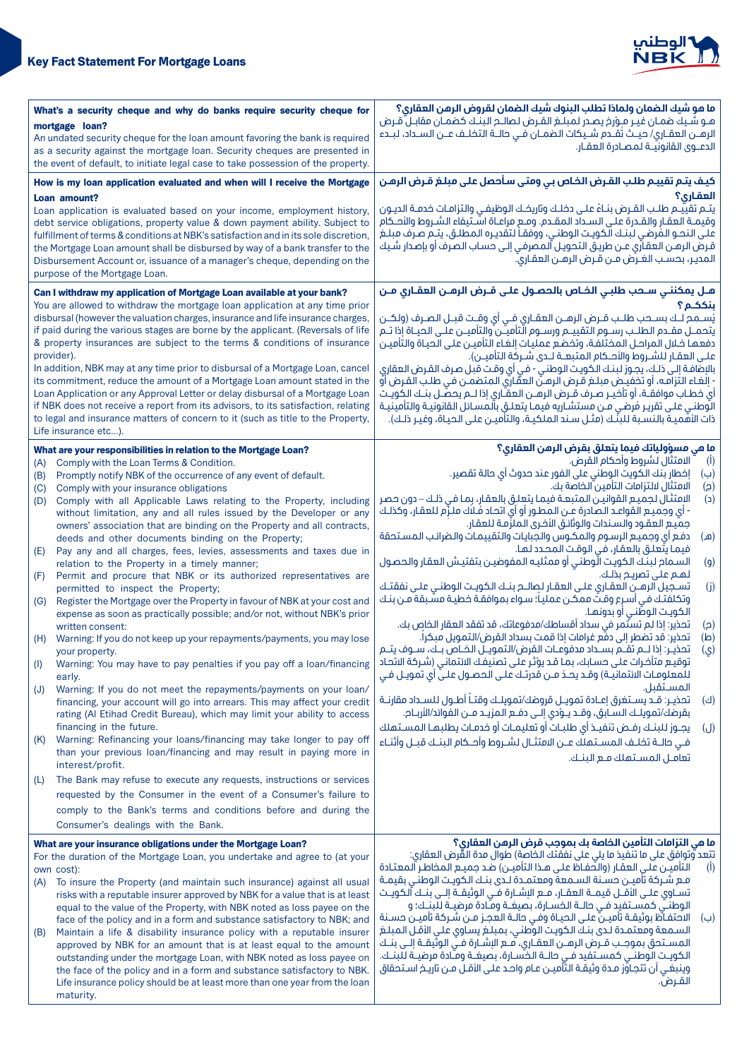

| What's a security cheque and why do banks require security cheque for            |                                                                                                                                                                    | ما هو شيك الضمان ولماذا تطلب البنوك شيك الضمان لقروض الرهن العقارى؟                                                                                                                        |  |  |
|----------------------------------------------------------------------------------|--------------------------------------------------------------------------------------------------------------------------------------------------------------------|--------------------------------------------------------------------------------------------------------------------------------------------------------------------------------------------|--|--|
| mortgage loan?                                                                   |                                                                                                                                                                    | هـو شـيك ضمـان غيـر مـِوْرِخ يصـدر لمبلـغ القـرض لـصالـح البنـك كضمـان مقابـلّ قـرض<br>الرهــن العقــاري/ حيــث تَقــدم شــيكات الـضمــان فــى حالــة التخلــف عــن الـســداد، لبــدء      |  |  |
|                                                                                  | An undated security cheque for the loan amount favoring the bank is required                                                                                       | الدعــوى القانونيــة لـمصــادرة الـعقــار.                                                                                                                                                 |  |  |
| as a security against the mortgage loan. Security cheques are presented in       |                                                                                                                                                                    |                                                                                                                                                                                            |  |  |
| the event of default, to initiate legal case to take possession of the property. |                                                                                                                                                                    |                                                                                                                                                                                            |  |  |
|                                                                                  | How is my loan application evaluated and when will I receive the Mortgage                                                                                          | كيف يتم تقييم طلب القرض الخاص بي ومتى سأحصل على مبلغ قرض الرهن                                                                                                                             |  |  |
|                                                                                  | Loan amount?                                                                                                                                                       | العقارى؟                                                                                                                                                                                   |  |  |
|                                                                                  | Loan application is evaluated based on your income, employment history,                                                                                            | يتـم تقييـم طلـب القـرض بنـاءً علـى دخلـك وتاريخـك الوظيفـى والتزامـات خدمــة الديـون<br>وَقيمَـة العقـار والقـدرة علـى السـداد المقـدم. ومـع مراعـاة اسَّـتيفاء الشـروط والأحـكام         |  |  |
|                                                                                  | debt service obligations, property value & down payment ability. Subject to<br>fulfillment of terms & conditions at NBK's satisfaction and in its sole discretion, | على النحـو المُرضى لبنـك الكويـت الوطنـى، ووفقـاً لتقديـره المطلـق، يتـم صـرف مبلـغ                                                                                                        |  |  |
|                                                                                  | the Mortgage Loan amount shall be disbursed by way of a bank transfer to the                                                                                       | قرض الرهن العقارَى عن طريق التحويـل اَلمصرفـى إلـى حساب الصرف أو بإصدار شـيك                                                                                                               |  |  |
|                                                                                  | Disbursement Account or, issuance of a manager's cheque, depending on the                                                                                          | المدير، بحسب الغرض مـن قـرض الرهـن العقـاريّ.                                                                                                                                              |  |  |
|                                                                                  | purpose of the Mortgage Loan.                                                                                                                                      |                                                                                                                                                                                            |  |  |
|                                                                                  | Can I withdraw my application of Mortgage Loan available at your bank?                                                                                             | هـل يمكننـي ســمب طلبـي الـفــاص بالـمـصـول علـى قــرض الرهــن العقــاري مــن                                                                                                              |  |  |
|                                                                                  | You are allowed to withdraw the mortgage loan application at any time prior                                                                                        | ىنككـم؟                                                                                                                                                                                    |  |  |
|                                                                                  | disbursal (however the valuation charges, insurance and life insurance charges,                                                                                    | يُســمـم لــك بســمـب طلــب قــرض الرهــن العقــارى فــى أى وقــت قبــل الـصـرف (ولكــن                                                                                                    |  |  |
|                                                                                  | if paid during the various stages are borne by the applicant. (Reversals of life                                                                                   | يتحمـــل مقــدم الـطلــب رســوم التقييــم ورســوم الّتأميــّن والتأميــن علــى الحيــاة إذا تــم                                                                                           |  |  |
|                                                                                  | & property insurances are subject to the terms & conditions of insurance                                                                                           | دفعها خلال المراحل المختلفة، وتخضع عمليات إلغاء التأميـن علـى الحيـاة والتأميـن                                                                                                            |  |  |
|                                                                                  | provider).                                                                                                                                                         | علـى العقـار للشـروط والأحـكام المتبعــة لــدى شـركة التأميــن).                                                                                                                           |  |  |
|                                                                                  | In addition, NBK may at any time prior to disbursal of a Mortgage Loan, cancel<br>its commitment, reduce the amount of a Mortgage Loan amount stated in the        | بالإضافة إلى ذلـك، يجـوز لبنـك الـكويـت الـوطنـى - فـى أى وقـت قبـل صـرف الـقـرض الـعقارى                                                                                                  |  |  |
|                                                                                  | Loan Application or any Approval Letter or delay disbursal of a Mortgage Loan                                                                                      | - إلغـاء التزامـه، أو تخفيـض مبلـغ قـرض الرهـنّ العقّاري المتضمـن فـي طلـب القـرض أوّ<br>أى خطــاب موافقــة، أو تأخيــر صــرف قــرض الرهـــن العقــّارى إذا لـــم يحصـّــل بنــك الـكويــت |  |  |
|                                                                                  | if NBK does not receive a report from its advisors, to its satisfaction, relating                                                                                  | الوطنى على تقرير فُرضى مـن مستشـاريه فيمـا يتعلـق بالمسـائل القانونيـة والتأمينيـة                                                                                                         |  |  |
|                                                                                  | to legal and insurance matters of concern to it (such as title to the Property,                                                                                    | ذات الأهميـة بالنسـبة للبنّـك (مثـل سـند الملكيـة، والتأميـن علـى الحيـاة، وغيـر ذلـك).                                                                                                    |  |  |
|                                                                                  | Life insurance etc).                                                                                                                                               |                                                                                                                                                                                            |  |  |
|                                                                                  | What are your responsibilities in relation to the Mortgage Loan?                                                                                                   | ما مي مسؤولياتك فيما يتعلق بقرض الرمن العقاري؟                                                                                                                                             |  |  |
| (A)                                                                              | Comply with the Loan Terms & Condition.                                                                                                                            | الامتثال لشروط وأحكام القرض.<br>$\overline{(\mathbf{l})}$                                                                                                                                  |  |  |
| (B)                                                                              | Promptly notify NBK of the occurrence of any event of default.                                                                                                     | إفطار بنك الكويت الوطني على الفور عند حدوث أي حالة تقصير.<br>(ب)                                                                                                                           |  |  |
| (C)                                                                              | Comply with your insurance obligations                                                                                                                             | الامتثال لالتزامات التأمين الخاصة بك.<br>(၄)                                                                                                                                               |  |  |
| (D)                                                                              | Comply with all Applicable Laws relating to the Property, including                                                                                                | الامتثال لجميع القوانيـن المتبعـة فيمـا يتعلـق بالعقار، بمـا فـى ذلـك – دون حصر<br>$\mathsf{C}$                                                                                            |  |  |
|                                                                                  | without limitation, any and all rules issued by the Developer or any<br>owners' association that are binding on the Property and all contracts,                    | جميع العقود والسـندات والوثائق الأخرى الملزَّمـة للعقار.                                                                                                                                   |  |  |
|                                                                                  | deeds and other documents binding on the Property;                                                                                                                 | دفع آى وجميع الرسوم والمكوس والجبايات والتقييمات والضرائب المستحقة<br>(هـ)                                                                                                                 |  |  |
| (E)                                                                              | Pay any and all charges, fees, levies, assessments and taxes due in                                                                                                | فيمـا يتّعلـق بالعقـار، فـى الـوقـت الـمـصـدد لـهـا.                                                                                                                                       |  |  |
|                                                                                  | relation to the Property in a timely manner;                                                                                                                       | السمام لبنك الكويت الّوطنى أو ممثليه المفوضين بتفتيش العقار والحصول<br>(q)                                                                                                                 |  |  |
| (F)                                                                              | Permit and procure that NBK or its authorized representatives are                                                                                                  | لهم على تصريح بذلك.                                                                                                                                                                        |  |  |
|                                                                                  | permitted to inspect the Property;                                                                                                                                 | تسـجيل الرهــن العقـارى علـى العقـار لـصالــم بنــك الـكويــت الـوطنــى علــى نفقتــك<br>(j)                                                                                               |  |  |
| (G)                                                                              | Register the Mortgage over the Property in favour of NBK at your cost and<br>expense as soon as practically possible; and/or not, without NBK's prior              | وتكلفتك في أسرع وقتٌ ممكن عملياً؛ سواء بموافقة خطيـة مسّبقة مـن بنـك<br>الكويت الوطّني أو بدونهـا.                                                                                         |  |  |
|                                                                                  | written consent:                                                                                                                                                   | تحذير: إذا لم تستَّمر في سداد أقساطك/مدفوعاتك، قد تفقد العقار الخاص بك.<br>(ട)                                                                                                             |  |  |
| (H)                                                                              | Warning: If you do not keep up your repayments/payments, you may lose                                                                                              | تحذير: قد تضطر إلى دفْع غرامات إذا قمت بسداد القرض/التمويل مبكراً.<br>(ط)                                                                                                                  |  |  |
|                                                                                  | your property.                                                                                                                                                     | تحذيـر: إذا لــم تقــم بســداد مدفوعــات القرض/التمويــل الخـاص بــك، ســوف يتــم<br>(ي)                                                                                                   |  |  |
| (1)                                                                              | Warning: You may have to pay penalties if you pay off a loan/financing                                                                                             | توقيع متأخرات على حسابك، بما قد يؤثر على تصنيفك الائتمانى (شركة الاتحاد                                                                                                                    |  |  |
|                                                                                  | early.                                                                                                                                                             | للمعلومـات الائتمانيـة) وقـد يحـدّ مــن قدرتـك علـى الحصـول علـيّ أي تمويـل فـي<br>المستقبل.                                                                                               |  |  |
| (J)                                                                              | Warning: If you do not meet the repayments/payments on your loan/<br>financing, your account will go into arrears. This may affect your credit                     | تحذيـر: قـد يســتغرق إعــادة تمويــل قروضك/تمويلــك وقتــاً أطــول لـلســداد مقارنــة<br>(ك)                                                                                               |  |  |
|                                                                                  | rating (AI Etihad Credit Bureau), which may limit your ability to access                                                                                           | بقرضك/تمويلـك الســابق، وقــد يــوْدى إلــى دفــع المزيــد مــن الفوائد/الأربــام.                                                                                                         |  |  |
|                                                                                  | financing in the future.                                                                                                                                           | يجـوز للبنـك رفـض تنفيـذ أي طلبـات أو تعليمـات أو خدمـات يطلبهـا المسـتهلك<br>(J)                                                                                                          |  |  |
| (K)                                                                              | Warning: Refinancing your loans/financing may take longer to pay off                                                                                               | فـى حالــة تخلـف المســتملك عــن الامتثــال لشــروط وأحــكام البنــك قبــل وأثنـاء                                                                                                         |  |  |
|                                                                                  | than your previous loan/financing and may result in paying more in                                                                                                 | تعاقل المستهلك فع البنك.                                                                                                                                                                   |  |  |
|                                                                                  | interest/profit.                                                                                                                                                   |                                                                                                                                                                                            |  |  |
| (L)                                                                              | The Bank may refuse to execute any requests, instructions or services                                                                                              |                                                                                                                                                                                            |  |  |
|                                                                                  | requested by the Consumer in the event of a Consumer's failure to                                                                                                  |                                                                                                                                                                                            |  |  |
|                                                                                  | comply to the Bank's terms and conditions before and during the                                                                                                    |                                                                                                                                                                                            |  |  |
|                                                                                  | Consumer's dealings with the Bank.                                                                                                                                 |                                                                                                                                                                                            |  |  |
|                                                                                  | What are your insurance obligations under the Mortgage Loan?                                                                                                       | ما هي التزامات التأمين الخاصة بك بموجب قرض الرهن العقاري؟                                                                                                                                  |  |  |
|                                                                                  | For the duration of the Mortgage Loan, you undertake and agree to (at your                                                                                         | تتعد وُتوافق على ما تنفيذ ما يلي على نفقتك الخاصة) طوال مدة القُّرض العقاري:                                                                                                               |  |  |
|                                                                                  | own cost):                                                                                                                                                         | التأميـن علـى العقـار (والحفـاظ علـى هـذا التأميـن) ضـد جميـع المخاطـر المعتـادة<br>$(\overline{I})$<br>مـع شـركة تأميـن حسـنة السـمعة ومعتمـدة لـدى بنـك الكويـت الوطنـى بقيمـة           |  |  |
| (A)                                                                              | To insure the Property (and maintain such insurance) against all usual<br>risks with a reputable insurer approved by NBK for a value that is at least              | تســـاوى علـــى الأقـــل قيمـــة الـعقــار، مـــع الإشــارة فــى الـوثيقــة إلـــى بنــك آلـكويــت                                                                                         |  |  |
|                                                                                  | equal to the value of the Property, with NBK noted as loss payee on the                                                                                            | الوطنــي كمســتفيد فــي حالــة الخســارة، بصيغــة ومـّادة مرضيــة للّبنــك؛ و                                                                                                              |  |  |
|                                                                                  | face of the policy and in a form and substance satisfactory to NBK; and                                                                                            | الاحتفاظ بوثيقـة تأميـن علـى الحيـاة وفـي حالـة العجـز مـن شـركة تأميـن حسـنة<br>(ب)                                                                                                       |  |  |
| (B)                                                                              | Maintain a life & disability insurance policy with a reputable insurer                                                                                             | السمعة ومعتمدة لدى بنك الكويت الوطني، بمبلغ يساوى على الأقل المبلغ                                                                                                                         |  |  |
|                                                                                  | approved by NBK for an amount that is at least equal to the amount                                                                                                 | المسـتحق بموجـب قـرض الرهـن العقـاري، مـع الإشـارة فــّى الوثَّيقــة إلــى بنــك                                                                                                           |  |  |
|                                                                                  | outstanding under the mortgage Loan, with NBK noted as loss payee on                                                                                               | الكويـت الوطنــى كمســتفيد فــى حالــة الخسـارة، بصيغــة ومـّادة مرضيــة لـلبنــك.<br>وينبغــى أن تتجـاوّز مـدة وثيقـة التّأميــن عــام واحـد عـلـى الأقــل مــن تاريــخ اســتحقاق         |  |  |
|                                                                                  | the face of the policy and in a form and substance satisfactory to NBK.<br>Life insurance policy should be at least more than one year from the loan               | القـرض.                                                                                                                                                                                    |  |  |
|                                                                                  | maturity.                                                                                                                                                          |                                                                                                                                                                                            |  |  |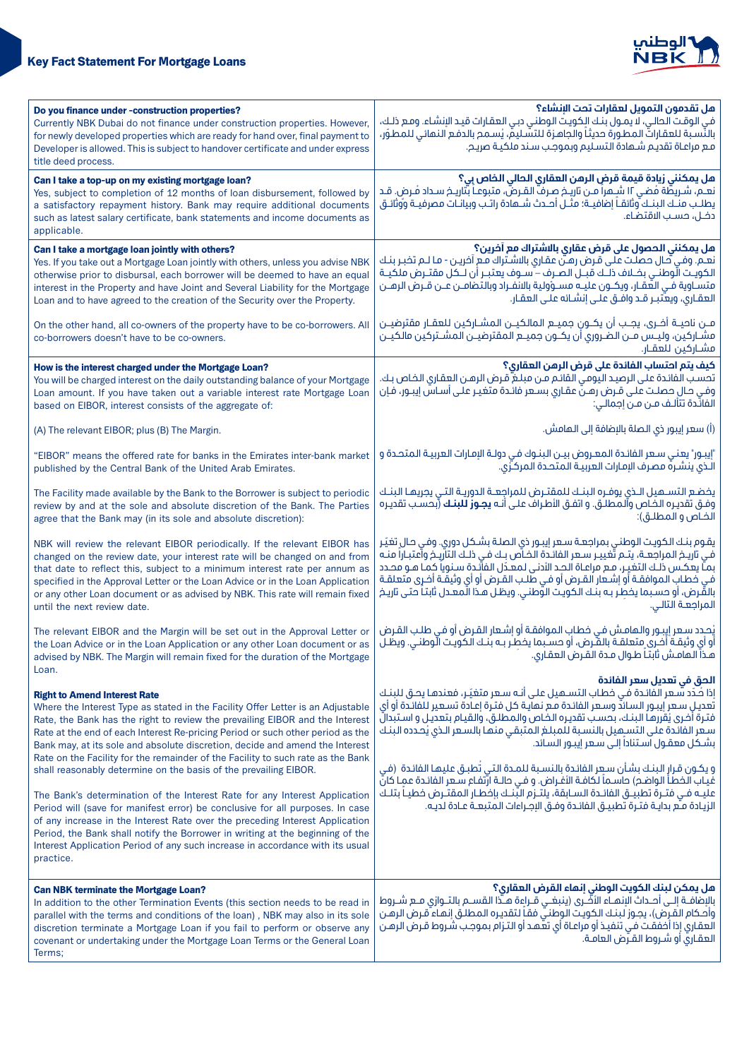

| Do you finance under -construction properties?<br>Currently NBK Dubai do not finance under construction properties. However,<br>for newly developed properties which are ready for hand over, final payment to<br>Developer is allowed. This is subject to handover certificate and under express<br>title deed process.                                                                                                                                                                                                                                                                                                                                                                                                                                                       | هل تقدمون التمويل لعقارات تحت البنشاء؟<br>في الوقت الحالي، لا يمـول بنـك الِكويت الوطني دبـي العقـارات قيـد الإنشـاء. ومـع ذلـك،<br>بالنَّسـبة للعقاراتَّ المطورة حديثاً والجاهـزة للتسَّـليمَّ، يُسـمح بالدفـع النـهائـى للمطـوّر،<br>مع مراعاة تقديم شـهادة التسـليم وبموجب سـند ملكيـة صريـم.                                                                                                                                                                                                                                                                                                                                                                                                                                                                                                                                                                    |  |
|--------------------------------------------------------------------------------------------------------------------------------------------------------------------------------------------------------------------------------------------------------------------------------------------------------------------------------------------------------------------------------------------------------------------------------------------------------------------------------------------------------------------------------------------------------------------------------------------------------------------------------------------------------------------------------------------------------------------------------------------------------------------------------|---------------------------------------------------------------------------------------------------------------------------------------------------------------------------------------------------------------------------------------------------------------------------------------------------------------------------------------------------------------------------------------------------------------------------------------------------------------------------------------------------------------------------------------------------------------------------------------------------------------------------------------------------------------------------------------------------------------------------------------------------------------------------------------------------------------------------------------------------------------------|--|
| Can I take a top-up on my existing mortgage loan?<br>Yes, subject to completion of 12 months of loan disbursement, followed by<br>a satisfactory repayment history. Bank may require additional documents<br>such as latest salary certificate, bank statements and income documents as<br>applicable.                                                                                                                                                                                                                                                                                                                                                                                                                                                                         | <b>مل يمكنني زيادة قيمة قرض الرمن العقاري الحالي الخاص بي؟</b><br>نعــم، شــريطة فضـي ١٢ شـِــمراً مــن تاريــخ صـرف القــرض، متبوعـاً بتاريــخ ســداد فــرض. قــد<br>يطلـب منـك البنـك وثائقـاً إضافيــة؛ مثــل أحــدث شـــمادة راتـب وبيانــات مصرفيــة وَوثائـق<br>دفـل، حسـب الاقتضاء.                                                                                                                                                                                                                                                                                                                                                                                                                                                                                                                                                                          |  |
| Can I take a mortgage loan jointly with others?<br>Yes. If you take out a Mortgage Loan jointly with others, unless you advise NBK<br>otherwise prior to disbursal, each borrower will be deemed to have an equal<br>interest in the Property and have Joint and Several Liability for the Mortgage<br>Loan and to have agreed to the creation of the Security over the Property.                                                                                                                                                                                                                                                                                                                                                                                              | هل يمكنني الحصول على قرض عقاري بالاشتراك مع آخرين؟<br>نعـم. وفـي حال حصلـت علـي قـرض رهـن عقـاري بالاشـتراك مـع آخريـن - مـا لــم تخبـر بنـك<br>الكويت الَّوطنــى بخــلاف ذلــك قبــل الـصـرف – ّســوف يعتبــر أن لــكل مقتــرض ملكيــة<br>متســاوية فــي الهقـار، ويكــون عليــه مســوْولية بالانفـراد وبالتضامــن عــن قــرض الرهــن<br>العقـاري، ويعتبـر قـد وافـق علــى إنشــائه علــى العقـار.                                                                                                                                                                                                                                                                                                                                                                                                                                                                 |  |
| On the other hand, all co-owners of the property have to be co-borrowers. All<br>co-borrowers doesn't have to be co-owners.                                                                                                                                                                                                                                                                                                                                                                                                                                                                                                                                                                                                                                                    | مـــن ناحيــــة أخـــرى، يجـــب أن يكـــون جميـــــم الـمالـكيــن الـمشـــار لــــوســــم سقترضيـــن<br>مشـاركين، وليـس مــن الضـروري أن يكــون جميــع المقترضيــن المشــتركين مالكيــن<br>مشــاركين للعقــار.                                                                                                                                                                                                                                                                                                                                                                                                                                                                                                                                                                                                                                                      |  |
| How is the interest charged under the Mortgage Loan?<br>You will be charged interest on the daily outstanding balance of your Mortgage<br>Loan amount. If you have taken out a variable interest rate Mortgage Loan<br>based on EIBOR, interest consists of the aggregate of:                                                                                                                                                                                                                                                                                                                                                                                                                                                                                                  | كيف يتم احتساب الفائدة على قرض الرهن العقارى؟<br>تحسب الفائدة على الرصيد اليومي القائم مـن مبلـغ ّقـرض الرهـن العقـاري الخـاص بـك.<br>وفي صالِ حصلـت علـى قـرض رهـنّ عقـاري بسـعر فائـدة متغيـر علـى أسـاس إيبـور، فـإن<br>الفائدة تتألـف مــن مــن إجمالــي:                                                                                                                                                                                                                                                                                                                                                                                                                                                                                                                                                                                                       |  |
| (A) The relevant EIBOR; plus (B) The Margin.                                                                                                                                                                                                                                                                                                                                                                                                                                                                                                                                                                                                                                                                                                                                   | (أ) سعر إيبور ذي الصلة بالإضافة إلى الـمامش.                                                                                                                                                                                                                                                                                                                                                                                                                                                                                                                                                                                                                                                                                                                                                                                                                        |  |
| "EIBOR" means the offered rate for banks in the Emirates inter-bank market<br>published by the Central Bank of the United Arab Emirates.                                                                                                                                                                                                                                                                                                                                                                                                                                                                                                                                                                                                                                       | "إيبـور" يعني سـعر الفائـدة المعـروض بيـن البنـوك فـي دولـة الإمـارات العربيـة المتحـدة و<br>الـذي ينشـره مصـرف الإمـارات العربيـة المتحـدة المركـزي.                                                                                                                                                                                                                                                                                                                                                                                                                                                                                                                                                                                                                                                                                                               |  |
| The Facility made available by the Bank to the Borrower is subject to periodic<br>review by and at the sole and absolute discretion of the Bank. The Parties<br>agree that the Bank may (in its sole and absolute discretion):                                                                                                                                                                                                                                                                                                                                                                                                                                                                                                                                                 | يخضع التسـميل الـذى يوفـره البنـك للمقتـرض للمراجعـة الدوريـة التـى يجريهـا البنـك<br>وَفق تقديره الضَّاص وٱلمَّطلُّق. و اتفـق الأطرافُ علـي أنـه <b>يجـوزُ لَلبنـك</b> (بَحَسَب تقديره<br>الخاص و المطلـق):                                                                                                                                                                                                                                                                                                                                                                                                                                                                                                                                                                                                                                                        |  |
| NBK will review the relevant EIBOR periodically. If the relevant EIBOR has<br>changed on the review date, your interest rate will be changed on and from<br>that date to reflect this, subject to a minimum interest rate per annum as<br>specified in the Approval Letter or the Loan Advice or in the Loan Application<br>or any other Loan document or as advised by NBK. This rate will remain fixed<br>until the next review date.                                                                                                                                                                                                                                                                                                                                        | يقـوم بنـك الـكويـت الـوطنـى بمراجعـة سـعر إيبـور ذي الـصلـة بشـكل دوري. وفـى حـالٍ تغيّـر<br>فِّي تاريخ المراجِّعـة، يتـم تَّغييـر سـعر الفائدة الْحَاصِّ بـك فـي ذلـك التَّازِّيـح وآعتباراً منـه<br>بمـّا يعكس ذلـك التغيـر، مـع مراعـاة الـصد الأدنـى لمعـدّل الفأئـدة سـنوياً كمـا هـو مصـدد<br>في خطابِ الموافقـة أو إشـعار القـرض أو فـي طلـب القـرض أو أي وثيقـة أخـرى متعلقـة<br>بالقِّرض، أو حسبما يخطِّر به بنِّك الْكوِّيت الوَّطني. ويظلُّ هذا الْمَعْدَل ثابتاً صَّتى تاريخ<br>المراجعـة التالـى.                                                                                                                                                                                                                                                                                                                                                     |  |
| The relevant EIBOR and the Margin will be set out in the Approval Letter or<br>the Loan Advice or in the Loan Application or any other Loan document or as<br>advised by NBK. The Margin will remain fixed for the duration of the Mortgage<br>Loan.                                                                                                                                                                                                                                                                                                                                                                                                                                                                                                                           | يُحدد سـعر إيبـور والـهامـش فـى خطاب الـموافقـة أو إشـعار الـقـرض أو فـى طلـب الـقـرض<br>أو أى وثيقـة أخـرى ِمتعلقـة بالقـّرض، أو حسـبما يخطِر بـه بنـك الكويـت الّوطنـي. ويظـل<br>هذاَ الـمامـش ثابتـاً طـوال مـدة القـرض العقـارى.                                                                                                                                                                                                                                                                                                                                                                                                                                                                                                                                                                                                                                |  |
| <b>Right to Amend Interest Rate</b><br>Where the Interest Type as stated in the Facility Offer Letter is an Adjustable<br>Rate, the Bank has the right to review the prevailing EIBOR and the Interest<br>Rate at the end of each Interest Re-pricing Period or such other period as the<br>Bank may, at its sole and absolute discretion, decide and amend the Interest<br>Rate on the Facility for the remainder of the Facility to such rate as the Bank<br>shall reasonably determine on the basis of the prevailing EIBOR.<br>The Bank's determination of the Interest Rate for any Interest Application<br>Period will (save for manifest error) be conclusive for all purposes. In case<br>of any increase in the Interest Rate over the preceding Interest Application | الحق في تعديل سعر الفائدة<br>إذا كُدّد سُعر الفائدة في فطاب التسـميل على أنـه سـعر متغيّـر، فعندمـا يحـق لـلبنـك<br>تُعديـل سـعر إيبـور الـسـائدُ وسـعر الـفائـدة مـع نـمايـة كل فتـرة إعـادة تسـعير لـلفائـدة أو أي<br>فتـرة أخـرى يُقررهـا الـبـنـك، بحسـب تقديـره الـخـاص والـمـطلـق، والـقيـام بتعديـل و اسـتـبدالّ<br>سعر الفائدة على التسبِهيل بالنسبة للمبلغ المتبقي منها بالسعر الذي يُحدده البنك<br>بشكل معقول آستناداً إلـى سـعر إيبـور السـائد.<br>و يكـون قـرار الـبـنـك بشـأن سـعِر الـفائـدة بالـنســبة لـلمـدة الـتـى تُطبـق عـليهـا الـفائـدة  (فـي<br>غيـاب الـفـطـأ الـواضـد) حاســماً لـكافـة الأغــراض. و فــى حالــة ارّتفـاع ســعر الـفائـدة عـمــا كانّ<br>عليـه فـى فتـرة تطبيــق الفائــدة الســابقة، يلتــزم البّنــك بإخطـار المقتــرض خطيــأ بتلــك<br>الزيادة مـّع بدايـة فتـرة تطبيـق الفائـدة وفـق الإجـراءات المتبعــة عـادة لديـه. |  |
| Period, the Bank shall notify the Borrower in writing at the beginning of the<br>Interest Application Period of any such increase in accordance with its usual<br>practice.                                                                                                                                                                                                                                                                                                                                                                                                                                                                                                                                                                                                    |                                                                                                                                                                                                                                                                                                                                                                                                                                                                                                                                                                                                                                                                                                                                                                                                                                                                     |  |
| <b>Can NBK terminate the Mortgage Loan?</b><br>In addition to the other Termination Events (this section needs to be read in<br>parallel with the terms and conditions of the loan), NBK may also in its sole<br>discretion terminate a Mortgage Loan if you fail to perform or observe any<br>covenant or undertaking under the Mortgage Loan Terms or the General Loan<br>Terms:                                                                                                                                                                                                                                                                                                                                                                                             | هل يمكن لبنك الكويت الوطني إنهاء القرض العقاري؟<br>بالإضافـــة إلـــى أصــداث الإنـــمـــاء الأضّــرى (ينبغـــى قـــراءة هـــدّا الـقســـم بالـتــوازى مـــع شــروط<br>وأَصَكَامَ الْقَرِضَ)، يجوز لبنـك الكويـت الوطنـيّ فقـأ لتقديره المطلـق إنهـاء قرض الرهـن<br>العقاري إذا أَحْفَقت في تنفيذ أو مراعاة أي تعهد أو التزام بموجب شروط قرض الرهن<br>العقاري أو شـروط القـرِّض العامـة.                                                                                                                                                                                                                                                                                                                                                                                                                                                                            |  |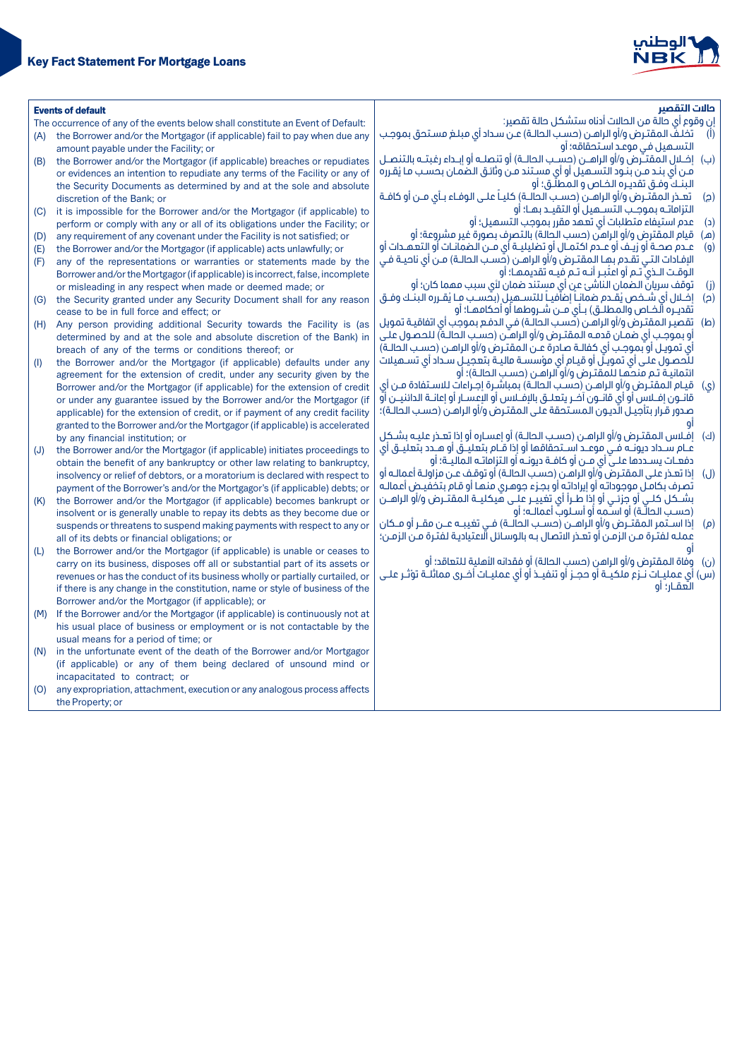

| <b>Events of default</b> |                                                                                                                                                     | حالات التقصر                                                                                                                                                      |  |  |
|--------------------------|-----------------------------------------------------------------------------------------------------------------------------------------------------|-------------------------------------------------------------------------------------------------------------------------------------------------------------------|--|--|
|                          | The occurrence of any of the events below shall constitute an Event of Default:                                                                     | إن وقوع أي حالة من الحالات أدناه ستشكل حالة تقصير:                                                                                                                |  |  |
| (A)                      | the Borrower and/or the Mortgagor (if applicable) fail to pay when due any                                                                          | (أ)       تخلـفَّ المقتـرض و/أو الراهـن (حسـب الـحالـة) عـن سـداد أي مبلـغ مسـتحق بموجـب                                                                          |  |  |
|                          | amount payable under the Facility; or                                                                                                               | التسـميل فـى موعـد اسـتحقاقه؛ أو                                                                                                                                  |  |  |
| (B)                      | the Borrower and/or the Mortgagor (if applicable) breaches or repudiates                                                                            | (ب) ] إفــلال المقتــرض و/أو الراهــن (حســب الحالــة) أو تنصلــه أو إيــداء رغبتــه بالتنصــل                                                                    |  |  |
|                          | or evidences an intention to repudiate any terms of the Facility or any of                                                                          | من أي بند من بنود التسـميل أو أي مسـتند مـن وثائق الصمان بحسـب مـا يُقـرره                                                                                        |  |  |
|                          | the Security Documents as determined by and at the sole and absolute                                                                                | البنــكَ وفــق تقديـره الـفـاص و الـمـطلّــق؛ أو                                                                                                                  |  |  |
|                          | discretion of the Bank; or                                                                                                                          | تعـذر المقتـّـرض و/أو الراهــن (حسـب الـحالــة) كليــاً علــى الـوفـاء بــأى مــن أو كافــة<br>(ဥ)                                                                |  |  |
| (C)                      | it is impossible for the Borrower and/or the Mortgagor (if applicable) to                                                                           | التزاماتـه بموجـب التســميل أو التقيــد بمــا؛ أو                                                                                                                 |  |  |
|                          | perform or comply with any or all of its obligations under the Facility; or                                                                         | عدم استيفاء متطلبات أي تعهد مقرر بموجب التسهيل؛ أو<br>(د)                                                                                                         |  |  |
| (D)                      | any requirement of any covenant under the Facility is not satisfied; or                                                                             | قيام المقترض و/أو الراهن (حسب الحالة) بالتصرف بصورة غير مشروعة؛ أو<br>(മ)                                                                                         |  |  |
| (E)                      | the Borrower and/or the Mortgagor (if applicable) acts unlawfully; or                                                                               | عـدم صحــة أو زيــف أو عــدم اكتمــال أو تضليليــة أى مــن الـضمانــات أو الـتعـهــدات أو<br>(q)                                                                  |  |  |
| (F)                      | any of the representations or warranties or statements made by the                                                                                  | الإفـادات التــى تقـدم بـمــا الـمـقتــرض و/أو الراهــن (حُسـب الـحالــة) مــن أي ناحيــة فــى                                                                    |  |  |
|                          | Borrower and/or the Mortgagor (if applicable) is incorrect, false, incomplete                                                                       | الوقت الـذيّ تـم أو اعتُبـر أنـه تـم فيـه تقديمهـا؛ أو                                                                                                            |  |  |
|                          | or misleading in any respect when made or deemed made; or                                                                                           | توقف سريانٌ الضمان الناشئ عن أي مستند ضمان لأي سبب مهما كان؛ أو<br>(j)                                                                                            |  |  |
| (G)                      | the Security granted under any Security Document shall for any reason                                                                               | (د) ) إضلال أي شـــفـص يُقــدم ضمانــاً إضآفيــاً للتســــهيل (بـصّـسـب مــا يُقــرره الـبنــك وفــق                                                              |  |  |
|                          | cease to be in full force and effect; or                                                                                                            | تقديـره الخـاص والـمـطلــق) بــأى مــن شــروطها أو أحكامهــا؛ أو                                                                                                  |  |  |
| (H)                      | Any person providing additional Security towards the Facility is (as                                                                                | تقصير المقترض و/أو الراهـن (حسـب الحالـة) فـي الدفـع بموجب أي اتفاقيـة تمويل<br>(ط)                                                                               |  |  |
|                          | determined by and at the sole and absolute discretion of the Bank) in                                                                               | أو بموجب أي ضمـان قدمـه المقتـرض و/أو الراهـّن (حسـب الحالـة) للحصـول علـي<br>أى تمويـل أو بموجـب أى كفالــة صـادرة عــن المقتــرض و/أو الراهــن (حسـب الـحالــة) |  |  |
|                          | breach of any of the terms or conditions thereof; or                                                                                                | للَّحصـول علـى أي تمـويـلّ أو قيـام أي مؤسسـة ماليـة بتعجيــل ســداد أي تســميلات                                                                                 |  |  |
| (1)                      | the Borrower and/or the Mortgagor (if applicable) defaults under any                                                                                | ائتمانيـة تـم منحمًـا للمقتـرض و/أو الراهـن (حسـب الـحالـة)؛ أو                                                                                                   |  |  |
|                          | agreement for the extension of credit, under any security given by the                                                                              | قيـام المقتـرض و/أو الراهـن (حسـب الـحالــة) بمباشـرة إجـراءات لـلاسـتفادة مــن أى<br>(0, 0)                                                                      |  |  |
|                          | Borrower and/or the Mortgagor (if applicable) for the extension of credit<br>or under any guarantee issued by the Borrower and/or the Mortgagor (if | قانـــون إفـــلاس أو أي قانـــون آخــر يتعـلـــق بالإفـــلاس أو الإعـســـار أو إعانـــة الـدائنيــــن أو                                                          |  |  |
|                          | applicable) for the extension of credit, or if payment of any credit facility                                                                       | صدور قرار بتأجيـل الَّديـون المسـتحقة على المقتـرض و/أو الراهـن (حسـب الحَالـة)؛                                                                                  |  |  |
|                          | granted to the Borrower and/or the Mortgagor (if applicable) is accelerated                                                                         |                                                                                                                                                                   |  |  |
|                          | by any financial institution; or                                                                                                                    | (ك) ) إفـلاس المقتـرض و/أو الراهـن (حسـب الحالـة) أو إعسـاره أو إذا تعـذر عليـه بشـكل                                                                             |  |  |
| (J)                      | the Borrower and/or the Mortgagor (if applicable) initiates proceedings to                                                                          | عــام ســداد ديونــه فــى موعــد اســتحقاقها أو إذا قــام بتعليـــق أو هــدد بتعليــق أي                                                                          |  |  |
|                          | obtain the benefit of any bankruptcy or other law relating to bankruptcy,                                                                           | دفعــات يســددها عـلــىّ أي مــن أو كافــة ديونــه أو التزاماتــه الـماليــة؛ أو                                                                                  |  |  |
|                          | insolvency or relief of debtors, or a moratorium is declared with respect to                                                                        | (ل)    إذا تعـذر علـى المقتـرض وّ/أو الراهـن (حسـب الحالـة) أو توقـف عـن مزاولـة أعمالـه أو                                                                       |  |  |
|                          | payment of the Borrower's and/or the Mortgagor's (if applicable) debts; or                                                                          | تُصرف بكامـل موجوداتـه أو إيراداتـه أو بجـزء جوهـرى منـهـا أو قـام بتخفيـض أعـمالـه                                                                               |  |  |
| (K)                      | the Borrower and/or the Mortgagor (if applicable) becomes bankrupt or                                                                               | بشــكل كلــى أو جزئــى أو إذا طــرأ أي تغييــر عـلــى هيكليــة الـمقتــرض و/أو الراهــن                                                                           |  |  |
|                          | insolvent or is generally unable to repay its debts as they become due or                                                                           | (حسب الحالَّـة) أو اســُمه أو أسـلوبٌ أعمالـه؛ أو                                                                                                                 |  |  |
|                          | suspends or threatens to suspend making payments with respect to any or                                                                             | (م)    إذا اســتمر المقتــرض و/أو الراهــن (حســب الحالــة) فــى تغيبــه عــن مقــر أو مــكان                                                                     |  |  |
|                          | all of its debts or financial obligations; or                                                                                                       | عملـه لفتـرة مـن الزمـن أو تعـذر الاتصال بـه بالوسـائل الَّاعتياديـة لفتـرة مـن الزمـن؛                                                                           |  |  |
| (L)                      | the Borrower and/or the Mortgagor (if applicable) is unable or ceases to                                                                            |                                                                                                                                                                   |  |  |
|                          | carry on its business, disposes off all or substantial part of its assets or                                                                        | (ن)   وفاة المقترض و/أو الراهن (حسب الحالة) أو فقدانه الأهلية للتعاقد؛ أو                                                                                         |  |  |
|                          | revenues or has the conduct of its business wholly or partially curtailed, or                                                                       | (س) أي عمليــات نـــزع ملكيـــة أو دجـــز أو تنفيـــذ أو أي عمليــات أُضــرى مماثلـــة تؤثــر علـــى                                                              |  |  |
|                          | if there is any change in the constitution, name or style of business of the                                                                        | العقـار؛ أو                                                                                                                                                       |  |  |
|                          | Borrower and/or the Mortgagor (if applicable); or                                                                                                   |                                                                                                                                                                   |  |  |
| (M)                      | If the Borrower and/or the Mortgagor (if applicable) is continuously not at                                                                         |                                                                                                                                                                   |  |  |
|                          | his usual place of business or employment or is not contactable by the                                                                              |                                                                                                                                                                   |  |  |
|                          | usual means for a period of time; or                                                                                                                |                                                                                                                                                                   |  |  |
| (N)                      | in the unfortunate event of the death of the Borrower and/or Mortgagor                                                                              |                                                                                                                                                                   |  |  |
|                          | (if applicable) or any of them being declared of unsound mind or                                                                                    |                                                                                                                                                                   |  |  |
|                          | incapacitated to contract; or                                                                                                                       |                                                                                                                                                                   |  |  |
| (O)                      | any expropriation, attachment, execution or any analogous process affects                                                                           |                                                                                                                                                                   |  |  |
|                          | the Property; or                                                                                                                                    |                                                                                                                                                                   |  |  |